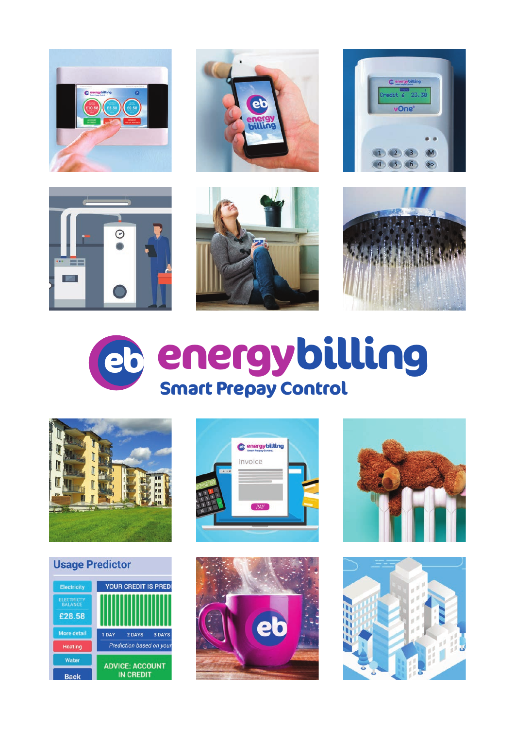























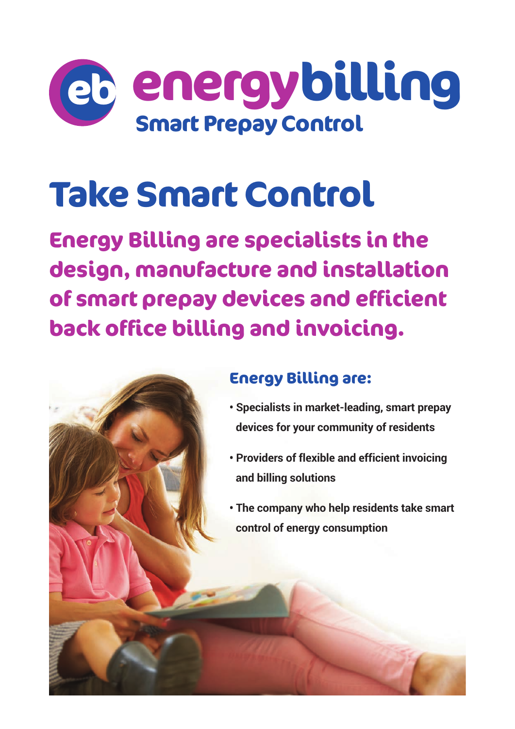

# **Take Smart Control**

**Energy Billing are specialists in the design, manufacture and installation of smart prepay devices and efficient back office billing and invoicing.**



### **Energy Billing are:**

- **Specialists in market-leading, smart prepay devices for your community of residents**
- **Providers of flexible and efficient invoicing and billing solutions**
- **The company who help residents take smart control of energy consumption**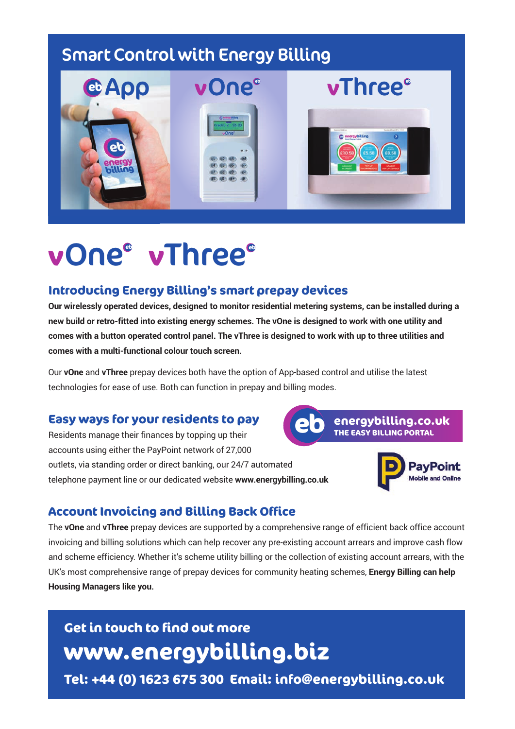## **Smart Control with Energy Billing**



## **vOne vThree eb eb**

#### **Introducing Energy Billing's smart prepay devices**

**Our wirelessly operated devices, designed to monitor residential metering systems, can be installed during a new build or retro-fitted into existing energy schemes. The vOne is designed to work with one utility and comes with a button operated control panel. The vThree is designed to work with up to three utilities and comes with a multi-functional colour touch screen.**

Our **vOne** and **vThree** prepay devices both have the option of App-based control and utilise the latest technologies for ease of use. Both can function in prepay and billing modes.

#### **Easy ways for your residents to pay**

Residents manage their finances by topping up their accounts using either the PayPoint network of 27,000 outlets, via standing order or direct banking, our 24/7 automated telephone payment line or our dedicated website **www.energybilling.co.uk**





#### **Account Invoicing and Billing Back Office**

The **vOne** and **vThree** prepay devices are supported by a comprehensive range of efficient back office account invoicing and billing solutions which can help recover any pre-existing account arrears and improve cash flow and scheme efficiency. Whether it's scheme utility billing or the collection of existing account arrears, with the UK's most comprehensive range of prepay devices for community heating schemes, **Energy Billing can help Housing Managers like you.**

## **Get in touch to find out more www.energybilling.biz**

**Tel: +44 (0) 1623 675 300 Email: info@energybilling.co.uk**